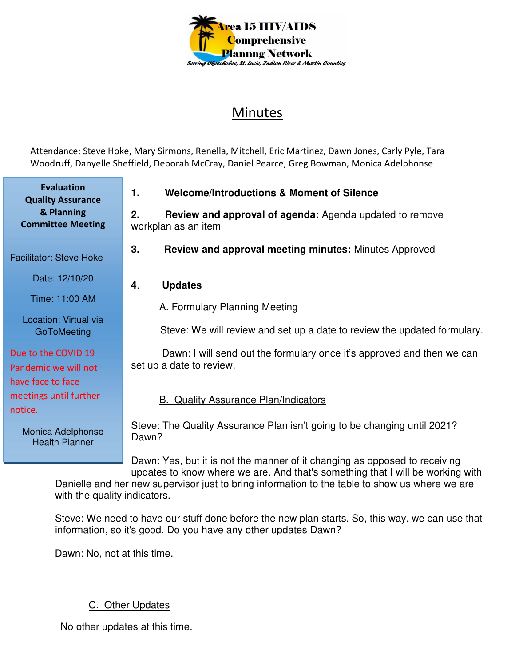

## Minutes

Attendance: Steve Hoke, Mary Sirmons, Renella, Mitchell, Eric Martinez, Dawn Jones, Carly Pyle, Tara Woodruff, Danyelle Sheffield, Deborah McCray, Daniel Pearce, Greg Bowman, Monica Adelphonse

**1. Welcome/Introductions & Moment of Silence 2. Review and approval of agenda:** Agenda updated to remove workplan as an item **3. Review and approval meeting minutes:** Minutes Approved **4**. **Updates**  A. Formulary Planning Meeting Steve: We will review and set up a date to review the updated formulary. Dawn: I will send out the formulary once it's approved and then we can set up a date to review. B. Quality Assurance Plan/Indicators Steve: The Quality Assurance Plan isn't going to be changing until 2021? Dawn? **Evaluation Quality Assurance & Planning Committee Meeting**  Facilitator: Steve Hoke Date: 12/10/20 Time: 11:00 AM Location: Virtual via **GoToMeeting** Due to the COVID 19 Pandemic we will not have face to face meetings until further notice. Monica Adelphonse Health Planner

Dawn: Yes, but it is not the manner of it changing as opposed to receiving updates to know where we are. And that's something that I will be working with Danielle and her new supervisor just to bring information to the table to show us where we are with the quality indicators.

Steve: We need to have our stuff done before the new plan starts. So, this way, we can use that information, so it's good. Do you have any other updates Dawn?

Dawn: No, not at this time.

## C. Other Updates

No other updates at this time.